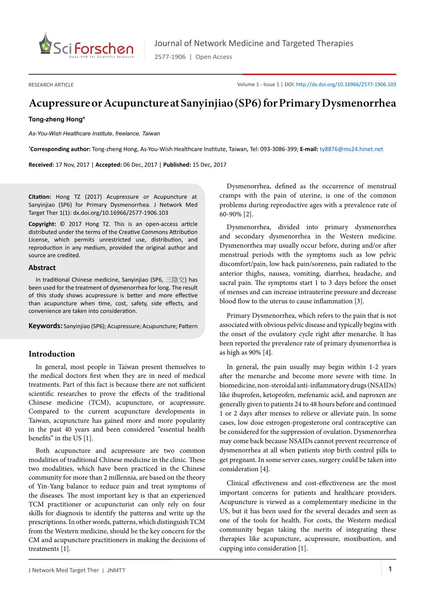

2577-1906 | Open Access

RESEARCH ARTICLE

Volume 1 - Issue 1 | DOI: <http://dx.doi.org/10.16966/2577-1906.103>

# **Acupressure or Acupuncture at Sanyinjiao (SP6) for Primary Dysmenorrhea**

#### **Tong-zheng Hong\***

*As-You-Wish Healthcare Institute, freelance, Taiwan*

**\* Corresponding author:** Tong-zheng Hong, As-You-Wish Healthcare Institute, Taiwan, Tel: 093-3086-399; **E-mail:** ty8876@ms24.hinet.net

**Received:** 17 Nov, 2017 | **Accepted:** 06 Dec, 2017 | **Published:** 15 Dec, 2017

**Citation:** Hong TZ (2017) Acupressure or Acupuncture at Sanyinjiao (SP6) for Primary Dysmenorrhea. J Network Med Target Ther 1(1): dx.doi.org/10.16966/2577-1906.103

**Copyright:** © 2017 Hong TZ. This is an open-access article distributed under the terms of the Creative Commons Attribution License, which permits unrestricted use, distribution, and reproduction in any medium, provided the original author and source are credited.

#### **Abstract**

In traditional Chinese medicine, Sanyinjiao (SP6, 三陰交) has been used for the treatment of dysmenorrhea for long. The result of this study shows acupressure is better and more effective than acupuncture when time, cost, safety, side effects, and convenience are taken into consideration.

**Keywords:** Sanyinjiao (SP6); Acupressure; Acupuncture; Pattern

## **Introduction**

In general, most people in Taiwan present themselves to the medical doctors first when they are in need of medical treatments. Part of this fact is because there are not sufficient scientific researches to prove the effects of the traditional Chinese medicine (TCM), acupuncture, or acupressure. Compared to the current acupuncture developments in Taiwan, acupuncture has gained more and more popularity in the past 40 years and been considered "essential health benefits" in the US [1].

Both acupuncture and acupressure are two common modalities of traditional Chinese medicine in the clinic. These two modalities, which have been practiced in the Chinese community for more than 2 millennia, are based on the theory of Yin-Yang balance to reduce pain and treat symptoms of the diseases. The most important key is that an experienced TCM practitioner or acupuncturist can only rely on four skills for diagnosis to identify the patterns and write up the prescriptions. In other words, patterns, which distinguish TCM from the Western medicine, should be the key concern for the CM and acupuncture practitioners in making the decisions of treatments [1].

Dysmenorrhea, defined as the occurrence of menstrual cramps with the pain of uterine, is one of the common problems during reproductive ages with a prevalence rate of 60-90% [2].

Dysmenorrhea, divided into primary dysmenorrhea and secondary dysmenorrhea in the Western medicine. Dysmenorrhea may usually occur before, during and/or after menstrual periods with the symptoms such as low pelvic discomfort/pain, low back pain/soreness, pain radiated to the anterior thighs, nausea, vomiting, diarrhea, headache, and sacral pain. The symptoms start 1 to 3 days before the onset of menses and can increase intrauterine pressure and decrease blood flow to the uterus to cause inflammation [3].

Primary Dysmenorrhea, which refers to the pain that is not associated with obvious pelvic disease and typically begins with the onset of the ovulatory cycle right after menarche. It has been reported the prevalence rate of primary dysmenorrhea is as high as 90% [4**]**.

In general, the pain usually may begin within 1-2 years after the menarche and become more severe with time. In biomedicine, non-steroidal anti-inflammatory drugs (NSAIDs) like ibuprofen, ketoprofen, mefenamic acid, and naproxen are generally given to patients 24 to 48 hours before and continued 1 or 2 days after menses to relieve or alleviate pain. In some cases, low dose estrogen-progesterone oral contraceptive can be considered for the suppression of ovulation. Dysmenorrhea may come back because NSAIDs cannot prevent recurrence of dysmenorrhea at all when patients stop birth control pills to get pregnant. In some server cases, surgery could be taken into consideration [4**]**.

Clinical effectiveness and cost-effectiveness are the most important concerns for patients and healthcare providers. Acupuncture is viewed as a complementary medicine in the US, but it has been used for the several decades and seen as one of the tools for health. For costs, the Western medical community began taking the merits of integrating these therapies like acupuncture, acupressure, moxibustion, and cupping into consideration [1].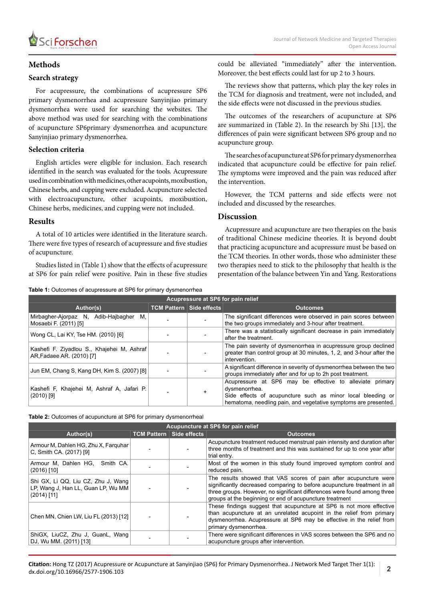

## **Methods**

## **Search strategy**

For acupressure, the combinations of acupressure SP6 primary dysmenorrhea and acupressure Sanyinjiao primary dysmenorrhea were used for searching the websites. The above method was used for searching with the combinations of acupuncture SP6primary dysmenorrhea and acupuncture Sanyinjiao primary dysmenorrhea.

## **Selection criteria**

English articles were eligible for inclusion. Each research identified in the search was evaluated for the tools. Acupressure used in combination with medicines, other acupoints, moxibustion, Chinese herbs, and cupping were excluded. Acupuncture selected with electroacupuncture, other acupoints, moxibustion, Chinese herbs, medicines, and cupping were not included.

## **Results**

A total of 10 articles were identified in the literature search. There were five types of research of acupressure and five studies of acupuncture.

Studies listed in (Table 1) show that the effects of acupressure at SP6 for pain relief were positive. Pain in these five studies

**Table 1:** Outcomes of acupressure at SP6 for primary dysmenorrhea

could be alleviated "immediately" after the intervention. Moreover, the best effects could last for up 2 to 3 hours.

The reviews show that patterns, which play the key roles in the TCM for diagnosis and treatment, were not included, and the side effects were not discussed in the previous studies.

The outcomes of the researchers of acupuncture at SP6 are summarized in (Table 2). In the research by Shi [13], the differences of pain were significant between SP6 group and no acupuncture group.

The searches of acupuncture at SP6 for primary dysmenorrhea indicated that acupuncture could be effective for pain relief. The symptoms were improved and the pain was reduced after the intervention.

However, the TCM patterns and side effects were not included and discussed by the researches.

## **Discussion**

Acupressure and acupuncture are two therapies on the basis of traditional Chinese medicine theories. It is beyond doubt that practicing acupuncture and acupressure must be based on the TCM theories. In other words, those who administer these two therapies need to stick to the philosophy that health is the presentation of the balance between Yin and Yang. Restorations

| Acupressure at SP6 for pain relief                                      |                                 |  |                                                                                                                                                                                                             |  |  |  |
|-------------------------------------------------------------------------|---------------------------------|--|-------------------------------------------------------------------------------------------------------------------------------------------------------------------------------------------------------------|--|--|--|
| Author(s)                                                               | <b>TCM Pattern Side effects</b> |  | <b>Outcomes</b>                                                                                                                                                                                             |  |  |  |
| Mirbagher-Ajorpaz N,<br>Adib-Hajbagher<br>М.<br>Mosaebi F. (2011) [5]   |                                 |  | The significant differences were observed in pain scores between<br>the two groups immediately and 3-hour after treatment.                                                                                  |  |  |  |
| Wong CL, Lai KY, Tse HM. (2010) [6]                                     |                                 |  | There was a statistically significant decrease in pain immediately<br>after the treatment.                                                                                                                  |  |  |  |
| Kashefi F. Ziyadlou S., Khajehei M, Ashraf<br>AR, Fadaee AR. (2010) [7] |                                 |  | The pain severity of dysmenorrhea in acupressure group declined<br>greater than control group at 30 minutes, 1, 2, and 3-hour after the<br>intervention.                                                    |  |  |  |
| Jun EM, Chang S, Kang DH, Kim S, (2007) [8]                             |                                 |  | A significant difference in severity of dysmenorrhea between the two<br>groups immediately after and for up to 2h post treatment.                                                                           |  |  |  |
| Kashefi F, Khajehei M, Ashraf A, Jafari P.<br>$(2010)$ [9]              |                                 |  | Acupressure at SP6 may be effective to alleviate primary<br>dysmenorrhea.<br>Side effects of acupuncture such as minor local bleeding or<br>hematoma, needling pain, and vegetative symptoms are presented. |  |  |  |

**Table 2:** Outcomes of acupuncture at SP6 for primary dysmenorrheal

| Acupuncture at SP6 for pain relief                                                        |  |                                 |                                                                                                                                                                                                                                                                                      |  |  |  |
|-------------------------------------------------------------------------------------------|--|---------------------------------|--------------------------------------------------------------------------------------------------------------------------------------------------------------------------------------------------------------------------------------------------------------------------------------|--|--|--|
| Author(s)                                                                                 |  | <b>TCM Pattern Side effects</b> | <b>Outcomes</b>                                                                                                                                                                                                                                                                      |  |  |  |
| Armour M, Dahlen HG, Zhu X, Farguhar<br>C, Smith CA. (2017) [9]                           |  |                                 | Acupuncture treatment reduced menstrual pain intensity and duration after<br>three months of treatment and this was sustained for up to one year after<br>trial entry.                                                                                                               |  |  |  |
| Armour M, Dahlen HG, Smith CA.<br>$(2016)$ [10]                                           |  |                                 | Most of the women in this study found improved symptom control and<br>reduced pain.                                                                                                                                                                                                  |  |  |  |
| Shi GX, Li QQ, Liu CZ, Zhu J, Wang<br>LP, Wang J, Han LL, Guan LP, Wu MM<br>$(2014)$ [11] |  |                                 | The results showed that VAS scores of pain after acupuncture were<br>significantly decreased comparing to before acupuncture treatment in all<br>three groups. However, no significant differences were found among three<br>groups at the beginning or end of acupuncture treatment |  |  |  |
| Chen MN, Chien LW, Liu FL (2013) [12]                                                     |  |                                 | These findings suggest that acupuncture at SP6 is not more effective<br>than acupuncture at an unrelated acupoint in the relief from primary<br>dysmenorrhea. Acupressure at SP6 may be effective in the relief from<br>primary dysmenorrhea.                                        |  |  |  |
| ShiGX, LiuCZ, Zhu J, GuanL, Wang<br>DJ, Wu MM. (2011) [13]                                |  |                                 | There were significant differences in VAS scores between the SP6 and no<br>acupuncture groups after intervention.                                                                                                                                                                    |  |  |  |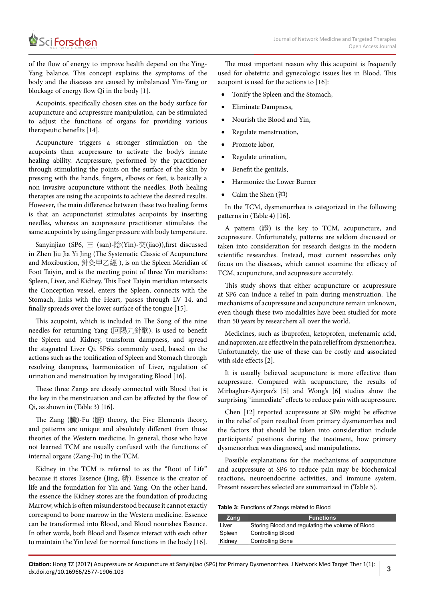of the flow of energy to improve health depend on the Ying-Yang balance. This concept explains the symptoms of the body and the diseases are caused by imbalanced Yin-Yang or blockage of energy flow Qi in the body [1].

Acupoints, specifically chosen sites on the body surface for acupuncture and acupressure manipulation, can be stimulated to adjust the functions of organs for providing various therapeutic benefits [14].

Acupuncture triggers a stronger stimulation on the acupoints than acupressure to activate the body's innate healing ability. Acupressure, performed by the practitioner through stimulating the points on the surface of the skin by pressing with the hands, fingers, elbows or feet, is basically a non invasive acupuncture without the needles. Both healing therapies are using the acupoints to achieve the desired results. However, the main difference between these two healing forms is that an acupuncturist stimulates acupoints by inserting needles, whereas an acupressure practitioner stimulates the same acupoints by using finger pressure with body temperature.

Sanyinjiao (SP6, 三 (san)-陰(Yin)-交(jiao)),first discussed in Zhen Jiu Jia Yi Jing (The Systematic Classic of Acupuncture and Moxibustion, 針灸甲乙經 ), is on the Spleen Meridian of Foot Taiyin, and is the meeting point of three Yin meridians: Spleen, Liver, and Kidney. This Foot Taiyin meridian intersects the Conception vessel, enters the Spleen, connects with the Stomach, links with the Heart, passes through LV 14, and finally spreads over the lower surface of the tongue [15].

This acupoint, which is included in The Song of the nine needles for returning Yang (回陽九針歌), is used to benefit the Spleen and Kidney, transform dampness, and spread the stagnated Liver Qi. SP6is commonly used, based on the actions such as the tonification of Spleen and Stomach through resolving dampness, harmonization of Liver, regulation of urination and menstruation by invigorating Blood [16].

These three Zangs are closely connected with Blood that is the key in the menstruation and can be affected by the flow of Qi, as shown in (Table 3) [16].

The Zang (臟)-Fu (腑) theory, the Five Elements theory, and patterns are unique and absolutely different from those theories of the Western medicine. In general, those who have not learned TCM are usually confused with the functions of internal organs (Zang-Fu) in the TCM.

Kidney in the TCM is referred to as the "Root of Life" because it stores Essence (Jing, 精). Essence is the creator of life and the foundation for Yin and Yang. On the other hand, the essence the Kidney stores are the foundation of producing Marrow, which is often misunderstood because it cannot exactly correspond to bone marrow in the Western medicine. Essence can be transformed into Blood, and Blood nourishes Essence. In other words, both Blood and Essence interact with each other to maintain the Yin level for normal functions in the body [16].

The most important reason why this acupoint is frequently used for obstetric and gynecologic issues lies in Blood. This acupoint is used for the actions to [16]:

- Tonify the Spleen and the Stomach,
- **Eliminate Dampness,**
- Nourish the Blood and Yin,
- Regulate menstruation,
- Promote labor,
- Regulate urination,
- Benefit the genitals,
- Harmonize the Lower Burner
- Calm the Shen (神)

In the TCM, dysmenorrhea is categorized in the following patterns in (Table 4) [16].

A pattern (證) is the key to TCM, acupuncture, and acupressure. Unfortunately, patterns are seldom discussed or taken into consideration for research designs in the modern scientific researches. Instead, most current researches only focus on the diseases, which cannot examine the efficacy of TCM, acupuncture, and acupressure accurately.

This study shows that either acupuncture or acupressure at SP6 can induce a relief in pain during menstruation. The mechanisms of acupressure and acupuncture remain unknown, even though these two modalities have been studied for more than 50 years by researchers all over the world.

Medicines, such as ibuprofen, ketoprofen, mefenamic acid, and naproxen, are effective in the pain relief from dysmenorrhea. Unfortunately, the use of these can be costly and associated with side effects [2].

It is usually believed acupuncture is more effective than acupressure. Compared with acupuncture, the results of Mirbagher-Ajorpaz's [5] and Wong's [6] studies show the surprising "immediate" effects to reduce pain with acupressure.

Chen [12] reported acupressure at SP6 might be effective in the relief of pain resulted from primary dysmenorrhea and the factors that should be taken into consideration include participants' positions during the treatment, how primary dysmenorrhea was diagnosed, and manipulations.

Possible explanations for the mechanisms of acupuncture and acupressure at SP6 to reduce pain may be biochemical reactions, neuroendocrine activities, and immune system. Present researches selected are summarized in (Table 5).

#### **Table 3:** Functions of Zangs related to Blood

| Zang   | <b>Functions</b>                                 |
|--------|--------------------------------------------------|
| Liver  | Storing Blood and regulating the volume of Blood |
| Spleen | Controlling Blood                                |
| Kidney | <b>Controlling Bone</b>                          |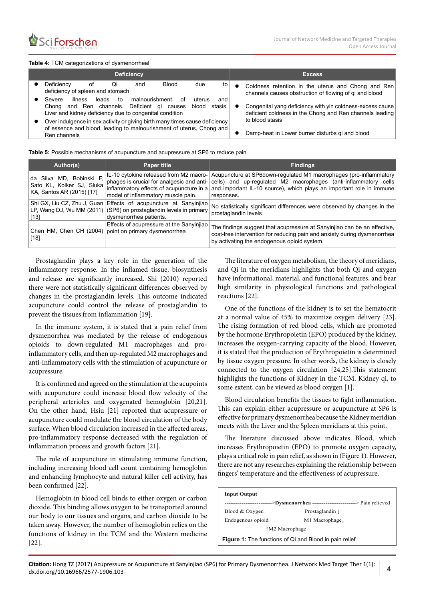#### **Table 4:** TCM categorizations of dysmenorrheal

|   | <b>Deficiency</b>                                                                                                                                                                                              | <b>Excess</b>                                                                                                                                                                               |
|---|----------------------------------------------------------------------------------------------------------------------------------------------------------------------------------------------------------------|---------------------------------------------------------------------------------------------------------------------------------------------------------------------------------------------|
|   | Blood<br>Deficiency<br>due<br>Ωi<br>to<br>οt<br>and<br>deficiency of spleen and stomach                                                                                                                        | Coldness retention in the uterus and Chong and Ren<br>channels causes obstruction of flowing of qi and blood                                                                                |
|   | illness<br>malnourishment<br>leads<br>Severe<br>to<br>uterus<br>nt.<br>and<br>and Ren channels. Deficient qi<br>stasis.<br>blood<br>causes<br>Chona<br>Liver and kidney deficiency due to congenital condition | Congenital yang deficiency with yin coldness-excess cause<br>deficient coldness in the Chong and Ren channels leading<br>to blood stasis<br>Damp-heat in Lower burner disturbs gi and blood |
| ٠ | Over indulgence in sex activity or giving birth many times cause deficiency<br>of essence and blood, leading to malnourishment of uterus, Chong and<br>Ren channels                                            |                                                                                                                                                                                             |

**Table 5:** Possible mechanisms of acupuncture and acupressure at SP6 to reduce pain

| Author(s),                                                                         | <b>Paper title</b>                                                                                                                                                    | <b>Findings</b>                                                                                                                                                                                                            |
|------------------------------------------------------------------------------------|-----------------------------------------------------------------------------------------------------------------------------------------------------------------------|----------------------------------------------------------------------------------------------------------------------------------------------------------------------------------------------------------------------------|
| da Silva MD, Bobinski F,<br>Sato KL, Kolker SJ, Sluka<br>KA, Santos AR (2015) [17] | IL-10 cytokine released from M2 macro-<br>phages is crucial for analgesic and anti-<br>inflammatory effects of acupuncture in a<br>model of inflammatory muscle pain. | Acupuncture at SP6down-regulated M1 macrophages (pro-inflammatory<br>cells) and up-regulated M2 macrophages (anti-inflammatory cells<br>and important IL-10 source), which plays an important role in immune<br>responses. |
| $[13]$                                                                             | Shi GX, Liu CZ, Zhu J, Guan Effects of acupuncture at Sanyinjiao<br>LP, Wang DJ, Wu MM (2011) (SP6) on prostaglandin levels in primary<br>dysmenorrhea patients.      | No statistically significant differences were observed by changes in the<br>prostaglandin levels                                                                                                                           |
| Chen HM, Chen CH $(2004)$<br>$[18]$                                                | Effects of acupressure at the Sanyinjiao<br>point on primary dysmenorrhea                                                                                             | The findings suggest that acupressure at Sanyinjiao can be an effective,<br>cost-free intervention for reducing pain and anxiety during dysmenorrhea<br>by activating the endogenous opioid system.                        |

Prostaglandin plays a key role in the generation of the inflammatory response. In the inflamed tissue, biosynthesis and release are significantly increased. Shi (2010) reported there were not statistically significant differences observed by changes in the prostaglandin levels. This outcome indicated acupuncture could control the release of prostaglandin to prevent the tissues from inflammation [19].

In the immune system, it is stated that a pain relief from dysmenorrhea was mediated by the release of endogenous opioids to down-regulated M1 macrophages and proinflammatory cells, and then up-regulated M2 macrophages and anti-inflammatory cells with the stimulation of acupuncture or acupressure.

It is confirmed and agreed on the stimulation at the acupoints with acupuncture could increase blood flow velocity of the peripheral arterioles and oxygenated hemoglobin [20,21]. On the other hand, Hsiu [21] reported that acupressure or acupuncture could modulate the blood circulation of the body surface. When blood circulation increased in the affected areas, pro-inflammatory response decreased with the regulation of inflammation process and growth factors [21].

The role of acupuncture in stimulating immune function, including increasing blood cell count containing hemoglobin and enhancing lymphocyte and natural killer cell activity, has been confirmed [22].

Hemoglobin in blood cell binds to either oxygen or carbon dioxide. This binding allows oxygen to be transported around our body to our tissues and organs, and carbon dioxide to be taken away. However, the number of hemoglobin relies on the functions of kidney in the TCM and the Western medicine [22].

The literature of oxygen metabolism, the theory of meridians, and Qi in the meridians highlights that both Qi and oxygen have informational, material, and functional features, and bear high similarity in physiological functions and pathological reactions [22].

One of the functions of the kidney is to set the hematocrit at a normal value of 45% to maximize oxygen delivery [23]. The rising formation of red blood cells, which are promoted by the hormone Erythropoietin (EPO) produced by the kidney, increases the oxygen-carrying capacity of the blood. However, it is stated that the production of Erythropoietin is determined by tissue oxygen pressure. In other words, the kidney is closely connected to the oxygen circulation [24,25].This statement highlights the functions of Kidney in the TCM. Kidney qi, to some extent, can be viewed as blood oxygen [1].

Blood circulation benefits the tissues to fight inflammation. This can explain either acupressure or acupuncture at SP6 is effective for primary dysmenorrhea because the Kidney meridian meets with the Liver and the Spleen meridians at this point.

The literature discussed above indicates Blood, which increases Erythropoietin (EPO) to promote oxygen capacity, plays a critical role in pain relief, as shown in (Figure 1). However, there are not any researches explaining the relationship between fingers' temperature and the effectiveness of acupressure.